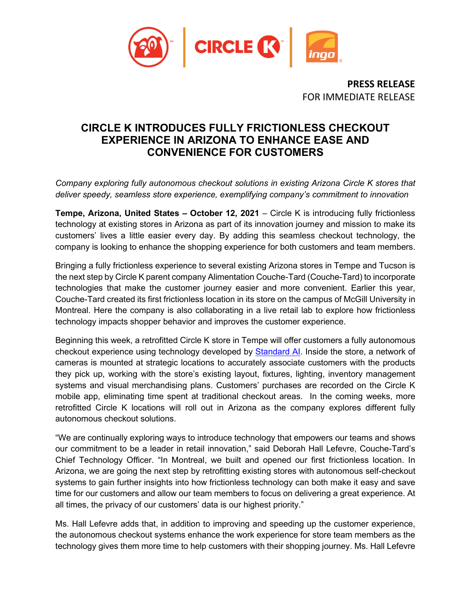

**PRESS RELEASE** FOR IMMEDIATE RELEASE

## **CIRCLE K INTRODUCES FULLY FRICTIONLESS CHECKOUT EXPERIENCE IN ARIZONA TO ENHANCE EASE AND CONVENIENCE FOR CUSTOMERS**

*Company exploring fully autonomous checkout solutions in existing Arizona Circle K stores that deliver speedy, seamless store experience, exemplifying company's commitment to innovation*

**Tempe, Arizona, United States – October 12, 2021** – Circle K is introducing fully frictionless technology at existing stores in Arizona as part of its innovation journey and mission to make its customers' lives a little easier every day. By adding this seamless checkout technology, the company is looking to enhance the shopping experience for both customers and team members.

Bringing a fully frictionless experience to several existing Arizona stores in Tempe and Tucson is the next step by Circle K parent company Alimentation Couche-Tard (Couche-Tard) to incorporate technologies that make the customer journey easier and more convenient. Earlier this year, Couche-Tard created its first frictionless location in its store on the campus of McGill University in Montreal. Here the company is also collaborating in a live retail lab to explore how frictionless technology impacts shopper behavior and improves the customer experience.

Beginning this week, a retrofitted Circle K store in Tempe will offer customers a fully autonomous checkout experience using technology developed by [Standard AI.](https://standard.ai/) Inside the store, a network of cameras is mounted at strategic locations to accurately associate customers with the products they pick up, working with the store's existing layout, fixtures, lighting, inventory management systems and visual merchandising plans. Customers' purchases are recorded on the Circle K mobile app, eliminating time spent at traditional checkout areas. In the coming weeks, more retrofitted Circle K locations will roll out in Arizona as the company explores different fully autonomous checkout solutions.

"We are continually exploring ways to introduce technology that empowers our teams and shows our commitment to be a leader in retail innovation," said Deborah Hall Lefevre, Couche-Tard's Chief Technology Officer. "In Montreal, we built and opened our first frictionless location. In Arizona, we are going the next step by retrofitting existing stores with autonomous self-checkout systems to gain further insights into how frictionless technology can both make it easy and save time for our customers and allow our team members to focus on delivering a great experience. At all times, the privacy of our customers' data is our highest priority."

Ms. Hall Lefevre adds that, in addition to improving and speeding up the customer experience, the autonomous checkout systems enhance the work experience for store team members as the technology gives them more time to help customers with their shopping journey. Ms. Hall Lefevre